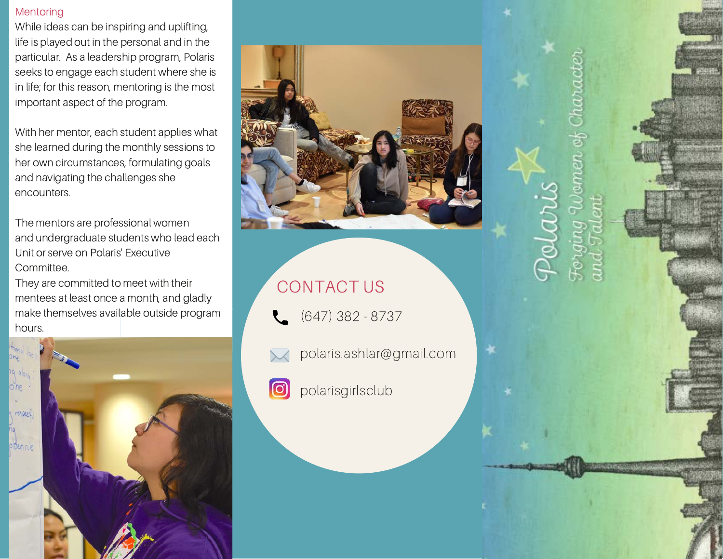### **Mentoring**

While ideas can be inspiring and uplifting, life is played out in the personal and in the particular. As a leadership program, Polaris seeks to engage each student where she is in life; for this reason, mentoring is the most important aspect of the program.

With her mentor, each student applies what she learned during the monthly sessions to her own circumstances, formulating goals and navigating the challenges she encounters.

The mentors are professional women and undergraduate students who lead each Unit or serve on Polaris' Executive Committee.

They are committed to meet with their mentees at least once a month, and gladly make themselves available outside program hours.





# CONTACT US

- (647) 382 8737
- polaris.ashlar@gmail.com
- $\odot$
- polarisgirlsclub